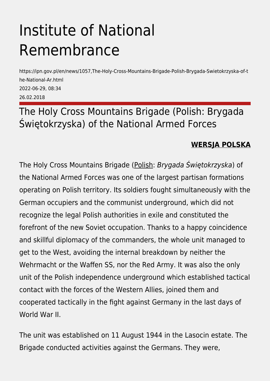## Institute of National Remembrance

https://ipn.gov.pl/en/news/1057,The-Holy-Cross-Mountains-Brigade-Polish-Brygada-Swietokrzyska-of-t he-National-Ar.html 2022-06-29, 08:34 26.02.2018

The Holy Cross Mountains Brigade (Polish: Brygada Świętokrzyska) of the National Armed Forces

## **[WERSJA POLSKA](https://ipn.gov.pl/pl/aktualnosci/47761,Brygada-Swietokrzyska-NSZ.html)**

The Holy Cross Mountains Brigade ([Polish](https://en.wikipedia.org/wiki/Polish_language): Brygada Świętokrzyska) of the National Armed Forces was one of the largest partisan formations operating on Polish territory. Its soldiers fought simultaneously with the German occupiers and the communist underground, which did not recognize the legal Polish authorities in exile and constituted the forefront of the new Soviet occupation. Thanks to a happy coincidence and skillful diplomacy of the commanders, the whole unit managed to get to the West, avoiding the internal breakdown by neither the Wehrmacht or the Waffen SS, nor the Red Army. It was also the only unit of the Polish independence underground which established tactical contact with the forces of the Western Allies, joined them and cooperated tactically in the fight against Germany in the last days of World War II.

The unit was established on 11 August 1944 in the Lasocin estate. The Brigade conducted activities against the Germans. They were,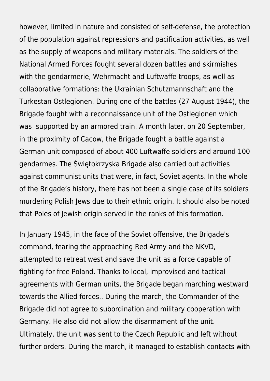however, limited in nature and consisted of self-defense, the protection of the population against repressions and pacification activities, as well as the supply of weapons and military materials. The soldiers of the National Armed Forces fought several dozen battles and skirmishes with the gendarmerie, Wehrmacht and Luftwaffe troops, as well as collaborative formations: the Ukrainian Schutzmannschaft and the Turkestan Ostlegionen. During one of the battles (27 August 1944), the Brigade fought with a reconnaissance unit of the Ostlegionen which was supported by an armored train. A month later, on 20 September, in the proximity of Cacow, the Brigade fought a battle against a German unit composed of about 400 Luftwaffe soldiers and around 100 gendarmes. The Świętokrzyska Brigade also carried out activities against communist units that were, in fact, Soviet agents. In the whole of the Brigade's history, there has not been a single case of its soldiers murdering Polish Jews due to their ethnic origin. It should also be noted that Poles of Jewish origin served in the ranks of this formation.

In January 1945, in the face of the Soviet offensive, the Brigade's command, fearing the approaching Red Army and the NKVD, attempted to retreat west and save the unit as a force capable of fighting for free Poland. Thanks to local, improvised and tactical agreements with German units, the Brigade began marching westward towards the Allied forces.. During the march, the Commander of the Brigade did not agree to subordination and military cooperation with Germany. He also did not allow the disarmament of the unit. Ultimately, the unit was sent to the Czech Republic and left without further orders. During the march, it managed to establish contacts with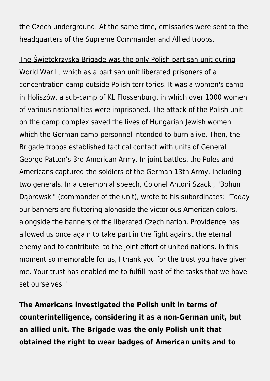the Czech underground. At the same time, emissaries were sent to the headquarters of the Supreme Commander and Allied troops.

The Świętokrzyska Brigade was the only Polish partisan unit during World War II, which as a partisan unit liberated prisoners of a concentration camp outside Polish territories. It was a women's camp in Holiszów, a sub-camp of KL Flossenburg, in which over 1000 women of various nationalities were imprisoned. The attack of the Polish unit on the camp complex saved the lives of Hungarian Jewish women which the German camp personnel intended to burn alive. Then, the Brigade troops established tactical contact with units of General George Patton's 3rd American Army. In joint battles, the Poles and Americans captured the soldiers of the German 13th Army, including two generals. In a ceremonial speech, Colonel Antoni Szacki, "Bohun Dąbrowski" (commander of the unit), wrote to his subordinates: "Today our banners are fluttering alongside the victorious American colors, alongside the banners of the liberated Czech nation. Providence has allowed us once again to take part in the fight against the eternal enemy and to contribute to the joint effort of united nations. In this moment so memorable for us, I thank you for the trust you have given me. Your trust has enabled me to fulfill most of the tasks that we have set ourselves. "

**The Americans investigated the Polish unit in terms of counterintelligence, considering it as a non-German unit, but an allied unit. The Brigade was the only Polish unit that obtained the right to wear badges of American units and to**